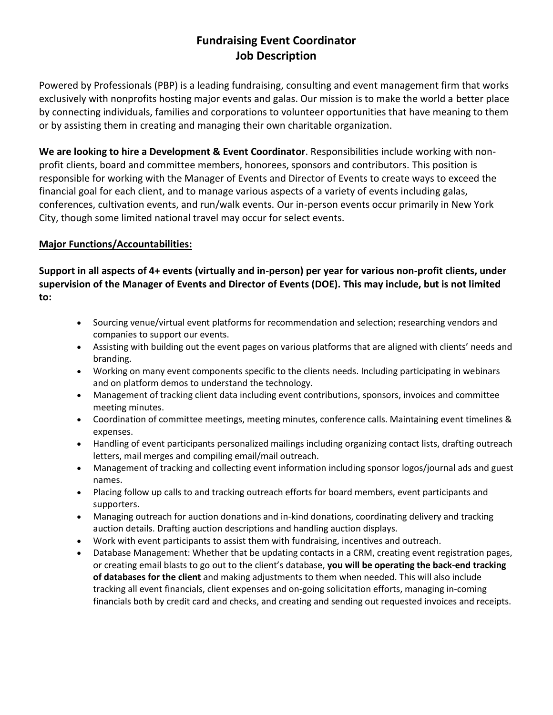# **Fundraising Event Coordinator Job Description**

Powered by Professionals (PBP) is a leading fundraising, consulting and event management firm that works exclusively with nonprofits hosting major events and galas. Our mission is to make the world a better place by connecting individuals, families and corporations to volunteer opportunities that have meaning to them or by assisting them in creating and managing their own charitable organization.

**We are looking to hire a Development & Event Coordinator**. Responsibilities include working with nonprofit clients, board and committee members, honorees, sponsors and contributors. This position is responsible for working with the Manager of Events and Director of Events to create ways to exceed the financial goal for each client, and to manage various aspects of a variety of events including galas, conferences, cultivation events, and run/walk events. Our in-person events occur primarily in New York City, though some limited national travel may occur for select events.

## **Major Functions/Accountabilities:**

**Support in all aspects of 4+ events (virtually and in-person) per year for various non-profit clients, under supervision of the Manager of Events and Director of Events (DOE). This may include, but is not limited to:** 

- Sourcing venue/virtual event platforms for recommendation and selection; researching vendors and companies to support our events.
- Assisting with building out the event pages on various platforms that are aligned with clients' needs and branding.
- Working on many event components specific to the clients needs. Including participating in webinars and on platform demos to understand the technology.
- Management of tracking client data including event contributions, sponsors, invoices and committee meeting minutes.
- Coordination of committee meetings, meeting minutes, conference calls. Maintaining event timelines & expenses.
- Handling of event participants personalized mailings including organizing contact lists, drafting outreach letters, mail merges and compiling email/mail outreach.
- Management of tracking and collecting event information including sponsor logos/journal ads and guest names.
- Placing follow up calls to and tracking outreach efforts for board members, event participants and supporters.
- Managing outreach for auction donations and in-kind donations, coordinating delivery and tracking auction details. Drafting auction descriptions and handling auction displays.
- Work with event participants to assist them with fundraising, incentives and outreach.
- Database Management: Whether that be updating contacts in a CRM, creating event registration pages, or creating email blasts to go out to the client's database, **you will be operating the back-end tracking of databases for the client** and making adjustments to them when needed. This will also include tracking all event financials, client expenses and on-going solicitation efforts, managing in-coming financials both by credit card and checks, and creating and sending out requested invoices and receipts.